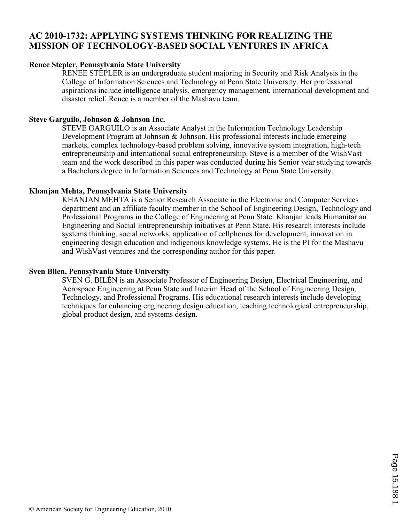## **AC 2010-1732: APPLYING SYSTEMS THINKING FOR REALIZING THE MISSION OF TECHNOLOGY-BASED SOCIAL VENTURES IN AFRICA**

#### **Renee Stepler, Pennsylvania State University**

RENEE STEPLER is an undergraduate student majoring in Security and Risk Analysis in the College of Information Sciences and Technology at Penn State University. Her professional aspirations include intelligence analysis, emergency management, international development and disaster relief. Renee is a member of the Mashavu team.

### **Steve Garguilo, Johnson & Johnson Inc.**

STEVE GARGUILO is an Associate Analyst in the Information Technology Leadership Development Program at Johnson & Johnson. His professional interests include emerging markets, complex technology-based problem solving, innovative system integration, high-tech entrepreneurship and international social entrepreneurship. Steve is a member of the WishVast team and the work described in this paper was conducted during his Senior year studying towards a Bachelors degree in Information Sciences and Technology at Penn State University.

### **Khanjan Mehta, Pennsylvania State University**

KHANJAN MEHTA is a Senior Research Associate in the Electronic and Computer Services department and an affiliate faculty member in the School of Engineering Design, Technology and Professional Programs in the College of Engineering at Penn State. Khanjan leads Humanitarian Engineering and Social Entrepreneurship initiatives at Penn State. His research interests include systems thinking, social networks, application of cellphones for development, innovation in engineering design education and indigenous knowledge systems. He is the PI for the Mashavu and WishVast ventures and the corresponding author for this paper.

#### **Sven Bilen, Pennsylvania State University**

SVEN G. BILÉN is an Associate Professor of Engineering Design, Electrical Engineering, and Aerospace Engineering at Penn State and Interim Head of the School of Engineering Design, Technology, and Professional Programs. His educational research interests include developing techniques for enhancing engineering design education, teaching technological entrepreneurship, global product design, and systems design.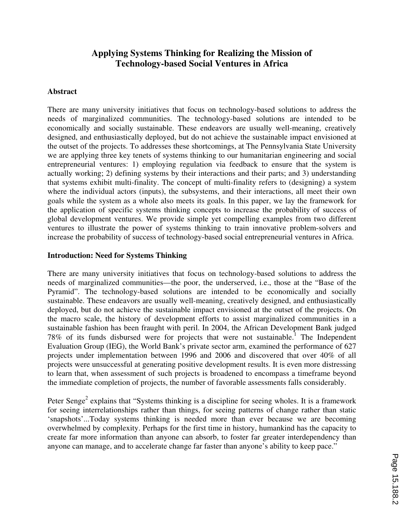# **Applying Systems Thinking for Realizing the Mission of Technology-based Social Ventures in Africa**

#### **Abstract**

There are many university initiatives that focus on technology-based solutions to address the needs of marginalized communities. The technology-based solutions are intended to be economically and socially sustainable. These endeavors are usually well-meaning, creatively designed, and enthusiastically deployed, but do not achieve the sustainable impact envisioned at the outset of the projects. To addresses these shortcomings, at The Pennsylvania State University we are applying three key tenets of systems thinking to our humanitarian engineering and social entrepreneurial ventures: 1) employing regulation via feedback to ensure that the system is actually working; 2) defining systems by their interactions and their parts; and 3) understanding that systems exhibit multi-finality. The concept of multi-finality refers to (designing) a system where the individual actors (inputs), the subsystems, and their interactions, all meet their own goals while the system as a whole also meets its goals. In this paper, we lay the framework for the application of specific systems thinking concepts to increase the probability of success of global development ventures. We provide simple yet compelling examples from two different ventures to illustrate the power of systems thinking to train innovative problem-solvers and increase the probability of success of technology-based social entrepreneurial ventures in Africa.

#### **Introduction: Need for Systems Thinking**

There are many university initiatives that focus on technology-based solutions to address the needs of marginalized communities—the poor, the underserved, i.e., those at the "Base of the Pyramid". The technology-based solutions are intended to be economically and socially sustainable. These endeavors are usually well-meaning, creatively designed, and enthusiastically deployed, but do not achieve the sustainable impact envisioned at the outset of the projects. On the macro scale, the history of development efforts to assist marginalized communities in a sustainable fashion has been fraught with peril. In 2004, the African Development Bank judged 78% of its funds disbursed were for projects that were not sustainable.<sup>1</sup> The Independent Evaluation Group (IEG), the World Bank's private sector arm, examined the performance of 627 projects under implementation between 1996 and 2006 and discovered that over 40% of all projects were unsuccessful at generating positive development results. It is even more distressing to learn that, when assessment of such projects is broadened to encompass a timeframe beyond the immediate completion of projects, the number of favorable assessments falls considerably.

Peter Senge<sup>2</sup> explains that "Systems thinking is a discipline for seeing wholes. It is a framework for seeing interrelationships rather than things, for seeing patterns of change rather than static 'snapshots'...Today systems thinking is needed more than ever because we are becoming overwhelmed by complexity. Perhaps for the first time in history, humankind has the capacity to create far more information than anyone can absorb, to foster far greater interdependency than anyone can manage, and to accelerate change far faster than anyone's ability to keep pace."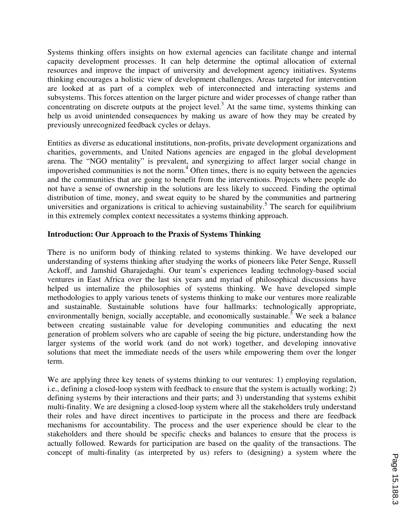Systems thinking offers insights on how external agencies can facilitate change and internal capacity development processes. It can help determine the optimal allocation of external resources and improve the impact of university and development agency initiatives. Systems thinking encourages a holistic view of development challenges. Areas targeted for intervention are looked at as part of a complex web of interconnected and interacting systems and subsystems. This forces attention on the larger picture and wider processes of change rather than concentrating on discrete outputs at the project level.<sup>3</sup> At the same time, systems thinking can help us avoid unintended consequences by making us aware of how they may be created by previously unrecognized feedback cycles or delays.

Entities as diverse as educational institutions, non-profits, private development organizations and charities, governments, and United Nations agencies are engaged in the global development arena. The "NGO mentality" is prevalent, and synergizing to affect larger social change in impoverished communities is not the norm.<sup>4</sup> Often times, there is no equity between the agencies and the communities that are going to benefit from the interventions. Projects where people do not have a sense of ownership in the solutions are less likely to succeed. Finding the optimal distribution of time, money, and sweat equity to be shared by the communities and partnering universities and organizations is critical to achieving sustainability.<sup>5</sup> The search for equilibrium in this extremely complex context necessitates a systems thinking approach.

#### **Introduction: Our Approach to the Praxis of Systems Thinking**

There is no uniform body of thinking related to systems thinking. We have developed our understanding of systems thinking after studying the works of pioneers like Peter Senge, Russell Ackoff, and Jamshid Gharajedaghi. Our team's experiences leading technology-based social ventures in East Africa over the last six years and myriad of philosophical discussions have helped us internalize the philosophies of systems thinking. We have developed simple methodologies to apply various tenets of systems thinking to make our ventures more realizable and sustainable. Sustainable solutions have four hallmarks: technologically appropriate, environmentally benign, socially acceptable, and economically sustainable.<sup>5</sup> We seek a balance between creating sustainable value for developing communities and educating the next generation of problem solvers who are capable of seeing the big picture, understanding how the larger systems of the world work (and do not work) together, and developing innovative solutions that meet the immediate needs of the users while empowering them over the longer term.

We are applying three key tenets of systems thinking to our ventures: 1) employing regulation, i.e., defining a closed-loop system with feedback to ensure that the system is actually working; 2) defining systems by their interactions and their parts; and 3) understanding that systems exhibit multi-finality. We are designing a closed-loop system where all the stakeholders truly understand their roles and have direct incentives to participate in the process and there are feedback mechanisms for accountability. The process and the user experience should be clear to the stakeholders and there should be specific checks and balances to ensure that the process is actually followed. Rewards for participation are based on the quality of the transactions. The concept of multi-finality (as interpreted by us) refers to (designing) a system where the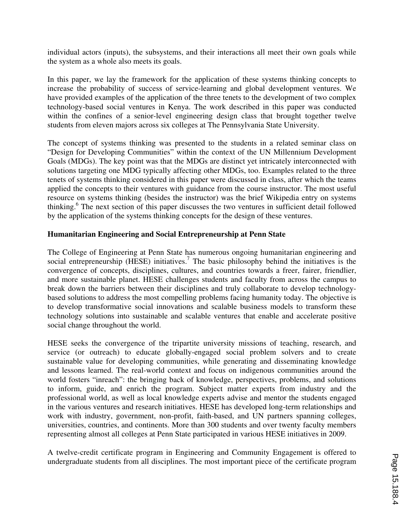individual actors (inputs), the subsystems, and their interactions all meet their own goals while the system as a whole also meets its goals.

In this paper, we lay the framework for the application of these systems thinking concepts to increase the probability of success of service-learning and global development ventures. We have provided examples of the application of the three tenets to the development of two complex technology-based social ventures in Kenya. The work described in this paper was conducted within the confines of a senior-level engineering design class that brought together twelve students from eleven majors across six colleges at The Pennsylvania State University.

The concept of systems thinking was presented to the students in a related seminar class on "Design for Developing Communities" within the context of the UN Millennium Development Goals (MDGs). The key point was that the MDGs are distinct yet intricately interconnected with solutions targeting one MDG typically affecting other MDGs, too. Examples related to the three tenets of systems thinking considered in this paper were discussed in class, after which the teams applied the concepts to their ventures with guidance from the course instructor. The most useful resource on systems thinking (besides the instructor) was the brief Wikipedia entry on systems thinking.<sup>6</sup> The next section of this paper discusses the two ventures in sufficient detail followed by the application of the systems thinking concepts for the design of these ventures.

### **Humanitarian Engineering and Social Entrepreneurship at Penn State**

The College of Engineering at Penn State has numerous ongoing humanitarian engineering and social entrepreneurship (HESE) initiatives.<sup>7</sup> The basic philosophy behind the initiatives is the convergence of concepts, disciplines, cultures, and countries towards a freer, fairer, friendlier, and more sustainable planet. HESE challenges students and faculty from across the campus to break down the barriers between their disciplines and truly collaborate to develop technologybased solutions to address the most compelling problems facing humanity today. The objective is to develop transformative social innovations and scalable business models to transform these technology solutions into sustainable and scalable ventures that enable and accelerate positive social change throughout the world.

HESE seeks the convergence of the tripartite university missions of teaching, research, and service (or outreach) to educate globally-engaged social problem solvers and to create sustainable value for developing communities, while generating and disseminating knowledge and lessons learned. The real-world context and focus on indigenous communities around the world fosters "inreach": the bringing back of knowledge, perspectives, problems, and solutions to inform, guide, and enrich the program. Subject matter experts from industry and the professional world, as well as local knowledge experts advise and mentor the students engaged in the various ventures and research initiatives. HESE has developed long-term relationships and work with industry, government, non-profit, faith-based, and UN partners spanning colleges, universities, countries, and continents. More than 300 students and over twenty faculty members representing almost all colleges at Penn State participated in various HESE initiatives in 2009.

A twelve-credit certificate program in Engineering and Community Engagement is offered to undergraduate students from all disciplines. The most important piece of the certificate program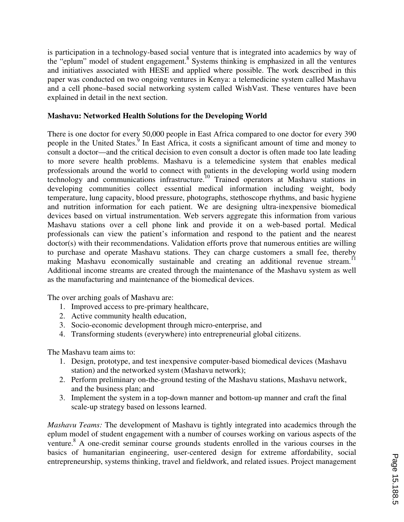is participation in a technology-based social venture that is integrated into academics by way of the "eplum" model of student engagement.<sup>8</sup> Systems thinking is emphasized in all the ventures and initiatives associated with HESE and applied where possible. The work described in this paper was conducted on two ongoing ventures in Kenya: a telemedicine system called Mashavu and a cell phone–based social networking system called WishVast. These ventures have been explained in detail in the next section.

## **Mashavu: Networked Health Solutions for the Developing World**

There is one doctor for every 50,000 people in East Africa compared to one doctor for every 390 people in the United States.<sup>9</sup> In East Africa, it costs a significant amount of time and money to consult a doctor—and the critical decision to even consult a doctor is often made too late leading to more severe health problems. Mashavu is a telemedicine system that enables medical professionals around the world to connect with patients in the developing world using modern technology and communications infrastructure.<sup>10</sup> Trained operators at Mashavu stations in developing communities collect essential medical information including weight, body temperature, lung capacity, blood pressure, photographs, stethoscope rhythms, and basic hygiene and nutrition information for each patient. We are designing ultra-inexpensive biomedical devices based on virtual instrumentation. Web servers aggregate this information from various Mashavu stations over a cell phone link and provide it on a web-based portal. Medical professionals can view the patient's information and respond to the patient and the nearest doctor(s) with their recommendations. Validation efforts prove that numerous entities are willing to purchase and operate Mashavu stations. They can charge customers a small fee, thereby making Mashavu economically sustainable and creating an additional revenue stream.<sup>11</sup> Additional income streams are created through the maintenance of the Mashavu system as well as the manufacturing and maintenance of the biomedical devices.

The over arching goals of Mashavu are:

- 1. Improved access to pre-primary healthcare,
- 2. Active community health education,
- 3. Socio-economic development through micro-enterprise, and
- 4. Transforming students (everywhere) into entrepreneurial global citizens.

The Mashavu team aims to:

- 1. Design, prototype, and test inexpensive computer-based biomedical devices (Mashavu station) and the networked system (Mashavu network);
- 2. Perform preliminary on-the-ground testing of the Mashavu stations, Mashavu network, and the business plan; and
- 3. Implement the system in a top-down manner and bottom-up manner and craft the final scale-up strategy based on lessons learned.

*Mashavu Teams:* The development of Mashavu is tightly integrated into academics through the eplum model of student engagement with a number of courses working on various aspects of the venture.<sup>8</sup> A one-credit seminar course grounds students enrolled in the various courses in the basics of humanitarian engineering, user-centered design for extreme affordability, social entrepreneurship, systems thinking, travel and fieldwork, and related issues. Project management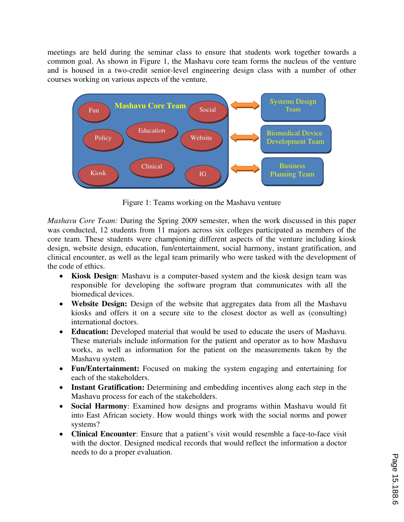meetings are held during the seminar class to ensure that students work together towards a common goal. As shown in Figure 1, the Mashavu core team forms the nucleus of the venture and is housed in a two-credit senior-level engineering design class with a number of other courses working on various aspects of the venture.



Figure 1: Teams working on the Mashavu venture

*Mashavu Core Team:* During the Spring 2009 semester, when the work discussed in this paper was conducted, 12 students from 11 majors across six colleges participated as members of the core team. These students were championing different aspects of the venture including kiosk design, website design, education, fun/entertainment, social harmony, instant gratification, and clinical encounter, as well as the legal team primarily who were tasked with the development of the code of ethics.

- **Kiosk Design**: Mashavu is a computer-based system and the kiosk design team was responsible for developing the software program that communicates with all the biomedical devices.
- **Website Design:** Design of the website that aggregates data from all the Mashavu kiosks and offers it on a secure site to the closest doctor as well as (consulting) international doctors.
- **Education:** Developed material that would be used to educate the users of Mashavu. These materials include information for the patient and operator as to how Mashavu works, as well as information for the patient on the measurements taken by the Mashavu system.
- **Fun/Entertainment:** Focused on making the system engaging and entertaining for each of the stakeholders.
- **Instant Gratification:** Determining and embedding incentives along each step in the Mashavu process for each of the stakeholders.
- **Social Harmony**: Examined how designs and programs within Mashavu would fit into East African society. How would things work with the social norms and power systems?
- **Clinical Encounter**: Ensure that a patient's visit would resemble a face-to-face visit with the doctor. Designed medical records that would reflect the information a doctor needs to do a proper evaluation.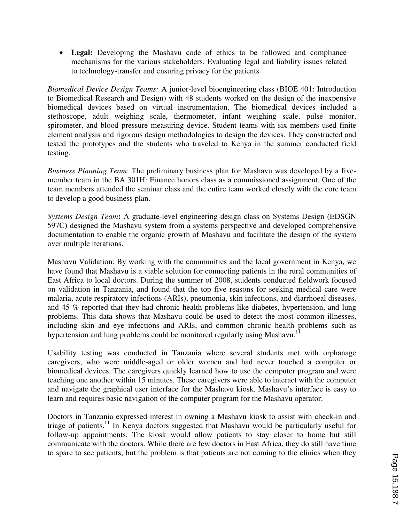• **Legal:** Developing the Mashavu code of ethics to be followed and compliance mechanisms for the various stakeholders. Evaluating legal and liability issues related to technology-transfer and ensuring privacy for the patients.

*Biomedical Device Design Teams:* A junior-level bioengineering class (BIOE 401: Introduction to Biomedical Research and Design) with 48 students worked on the design of the inexpensive biomedical devices based on virtual instrumentation. The biomedical devices included a stethoscope, adult weighing scale, thermometer, infant weighing scale, pulse monitor, spirometer, and blood pressure measuring device. Student teams with six members used finite element analysis and rigorous design methodologies to design the devices. They constructed and tested the prototypes and the students who traveled to Kenya in the summer conducted field testing.

*Business Planning Team*: The preliminary business plan for Mashavu was developed by a fivemember team in the BA 301H: Finance honors class as a commissioned assignment. One of the team members attended the seminar class and the entire team worked closely with the core team to develop a good business plan.

*Systems Design Team***:** A graduate-level engineering design class on Systems Design (EDSGN 597C) designed the Mashavu system from a systems perspective and developed comprehensive documentation to enable the organic growth of Mashavu and facilitate the design of the system over multiple iterations.

Mashavu Validation: By working with the communities and the local government in Kenya, we have found that Mashavu is a viable solution for connecting patients in the rural communities of East Africa to local doctors. During the summer of 2008, students conducted fieldwork focused on validation in Tanzania, and found that the top five reasons for seeking medical care were malaria, acute respiratory infections (ARIs), pneumonia, skin infections, and diarrhoeal diseases, and 45 % reported that they had chronic health problems like diabetes, hypertension, and lung problems. This data shows that Mashavu could be used to detect the most common illnesses, including skin and eye infections and ARIs, and common chronic health problems such as hypertension and lung problems could be monitored regularly using Mashavu.<sup>1</sup>

Usability testing was conducted in Tanzania where several students met with orphanage caregivers, who were middle-aged or older women and had never touched a computer or biomedical devices. The caregivers quickly learned how to use the computer program and were teaching one another within 15 minutes. These caregivers were able to interact with the computer and navigate the graphical user interface for the Mashavu kiosk. Mashavu's interface is easy to learn and requires basic navigation of the computer program for the Mashavu operator.

Doctors in Tanzania expressed interest in owning a Mashavu kiosk to assist with check-in and triage of patients.<sup>11</sup> In Kenya doctors suggested that Mashavu would be particularly useful for follow-up appointments. The kiosk would allow patients to stay closer to home but still communicate with the doctors. While there are few doctors in East Africa, they do still have time to spare to see patients, but the problem is that patients are not coming to the clinics when they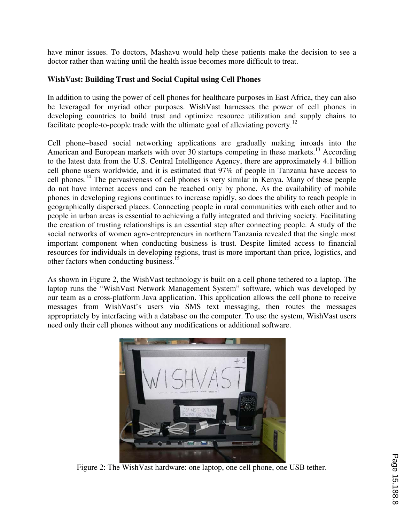have minor issues. To doctors, Mashavu would help these patients make the decision to see a doctor rather than waiting until the health issue becomes more difficult to treat.

## **WishVast: Building Trust and Social Capital using Cell Phones**

In addition to using the power of cell phones for healthcare purposes in East Africa, they can also be leveraged for myriad other purposes. WishVast harnesses the power of cell phones in developing countries to build trust and optimize resource utilization and supply chains to facilitate people-to-people trade with the ultimate goal of alleviating poverty.<sup>12</sup>

Cell phone–based social networking applications are gradually making inroads into the American and European markets with over 30 startups competing in these markets.<sup>13</sup> According to the latest data from the U.S. Central Intelligence Agency, there are approximately 4.1 billion cell phone users worldwide, and it is estimated that 97% of people in Tanzania have access to cell phones.<sup>14</sup> The pervasiveness of cell phones is very similar in Kenya. Many of these people do not have internet access and can be reached only by phone. As the availability of mobile phones in developing regions continues to increase rapidly, so does the ability to reach people in geographically dispersed places. Connecting people in rural communities with each other and to people in urban areas is essential to achieving a fully integrated and thriving society. Facilitating the creation of trusting relationships is an essential step after connecting people. A study of the social networks of women agro-entrepreneurs in northern Tanzania revealed that the single most important component when conducting business is trust. Despite limited access to financial resources for individuals in developing regions, trust is more important than price, logistics, and other factors when conducting business.<sup>15</sup>

As shown in Figure 2, the WishVast technology is built on a cell phone tethered to a laptop. The laptop runs the "WishVast Network Management System" software, which was developed by our team as a cross-platform Java application. This application allows the cell phone to receive messages from WishVast's users via SMS text messaging, then routes the messages appropriately by interfacing with a database on the computer. To use the system, WishVast users need only their cell phones without any modifications or additional software.



Figure 2: The WishVast hardware: one laptop, one cell phone, one USB tether.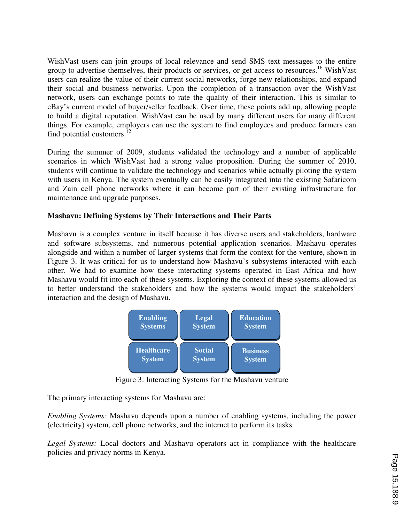WishVast users can join groups of local relevance and send SMS text messages to the entire group to advertise themselves, their products or services, or get access to resources.<sup>16</sup> WishVast users can realize the value of their current social networks, forge new relationships, and expand their social and business networks. Upon the completion of a transaction over the WishVast network, users can exchange points to rate the quality of their interaction. This is similar to eBay's current model of buyer/seller feedback. Over time, these points add up, allowing people to build a digital reputation. WishVast can be used by many different users for many different things. For example, employers can use the system to find employees and produce farmers can find potential customers.<sup>12</sup>

During the summer of 2009, students validated the technology and a number of applicable scenarios in which WishVast had a strong value proposition. During the summer of 2010, students will continue to validate the technology and scenarios while actually piloting the system with users in Kenya. The system eventually can be easily integrated into the existing Safaricom and Zain cell phone networks where it can become part of their existing infrastructure for maintenance and upgrade purposes.

## **Mashavu: Defining Systems by Their Interactions and Their Parts**

Mashavu is a complex venture in itself because it has diverse users and stakeholders, hardware and software subsystems, and numerous potential application scenarios. Mashavu operates alongside and within a number of larger systems that form the context for the venture, shown in Figure 3. It was critical for us to understand how Mashavu's subsystems interacted with each other. We had to examine how these interacting systems operated in East Africa and how Mashavu would fit into each of these systems. Exploring the context of these systems allowed us to better understand the stakeholders and how the systems would impact the stakeholders' interaction and the design of Mashavu.



Figure 3: Interacting Systems for the Mashavu venture

The primary interacting systems for Mashavu are:

*Enabling Systems:* Mashavu depends upon a number of enabling systems, including the power (electricity) system, cell phone networks, and the internet to perform its tasks.

*Legal Systems:* Local doctors and Mashavu operators act in compliance with the healthcare policies and privacy norms in Kenya.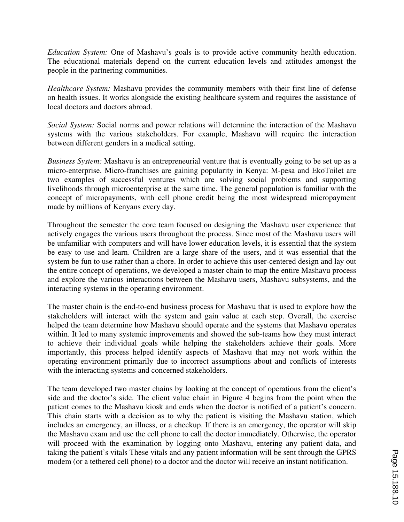*Education System:* One of Mashavu's goals is to provide active community health education. The educational materials depend on the current education levels and attitudes amongst the people in the partnering communities.

*Healthcare System:* Mashavu provides the community members with their first line of defense on health issues. It works alongside the existing healthcare system and requires the assistance of local doctors and doctors abroad.

*Social System:* Social norms and power relations will determine the interaction of the Mashavu systems with the various stakeholders. For example, Mashavu will require the interaction between different genders in a medical setting.

*Business System:* Mashavu is an entrepreneurial venture that is eventually going to be set up as a micro-enterprise. Micro-franchises are gaining popularity in Kenya: M-pesa and EkoToilet are two examples of successful ventures which are solving social problems and supporting livelihoods through microenterprise at the same time. The general population is familiar with the concept of micropayments, with cell phone credit being the most widespread micropayment made by millions of Kenyans every day.

Throughout the semester the core team focused on designing the Mashavu user experience that actively engages the various users throughout the process. Since most of the Mashavu users will be unfamiliar with computers and will have lower education levels, it is essential that the system be easy to use and learn. Children are a large share of the users, and it was essential that the system be fun to use rather than a chore. In order to achieve this user-centered design and lay out the entire concept of operations, we developed a master chain to map the entire Mashavu process and explore the various interactions between the Mashavu users, Mashavu subsystems, and the interacting systems in the operating environment.

The master chain is the end-to-end business process for Mashavu that is used to explore how the stakeholders will interact with the system and gain value at each step. Overall, the exercise helped the team determine how Mashavu should operate and the systems that Mashavu operates within. It led to many systemic improvements and showed the sub-teams how they must interact to achieve their individual goals while helping the stakeholders achieve their goals. More importantly, this process helped identify aspects of Mashavu that may not work within the operating environment primarily due to incorrect assumptions about and conflicts of interests with the interacting systems and concerned stakeholders.

The team developed two master chains by looking at the concept of operations from the client's side and the doctor's side. The client value chain in Figure 4 begins from the point when the patient comes to the Mashavu kiosk and ends when the doctor is notified of a patient's concern. This chain starts with a decision as to why the patient is visiting the Mashavu station, which includes an emergency, an illness, or a checkup. If there is an emergency, the operator will skip the Mashavu exam and use the cell phone to call the doctor immediately. Otherwise, the operator will proceed with the examination by logging onto Mashavu, entering any patient data, and taking the patient's vitals These vitals and any patient information will be sent through the GPRS modem (or a tethered cell phone) to a doctor and the doctor will receive an instant notification.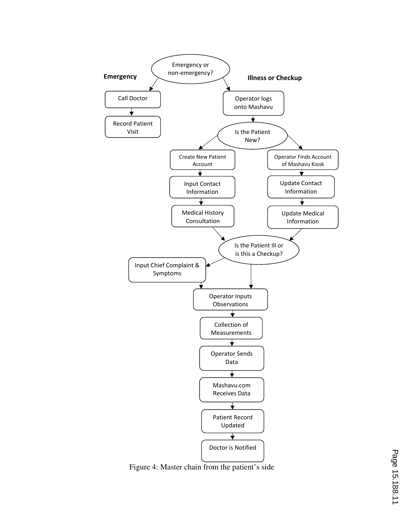

Figure 4: Master chain from the patient's side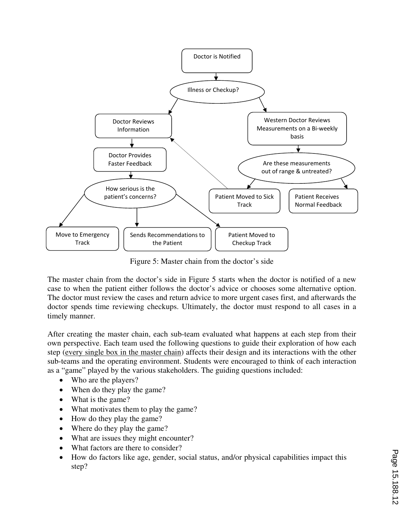

Figure 5: Master chain from the doctor's side

The master chain from the doctor's side in Figure 5 starts when the doctor is notified of a new case to when the patient either follows the doctor's advice or chooses some alternative option. The doctor must review the cases and return advice to more urgent cases first, and afterwards the doctor spends time reviewing checkups. Ultimately, the doctor must respond to all cases in a timely manner.

After creating the master chain, each sub-team evaluated what happens at each step from their own perspective. Each team used the following questions to guide their exploration of how each step (every single box in the master chain) affects their design and its interactions with the other sub-teams and the operating environment. Students were encouraged to think of each interaction as a "game" played by the various stakeholders. The guiding questions included:

- Who are the players?
- When do they play the game?
- What is the game?
- What motivates them to play the game?
- How do they play the game?
- Where do they play the game?
- What are issues they might encounter?
- What factors are there to consider?
- How do factors like age, gender, social status, and/or physical capabilities impact this step?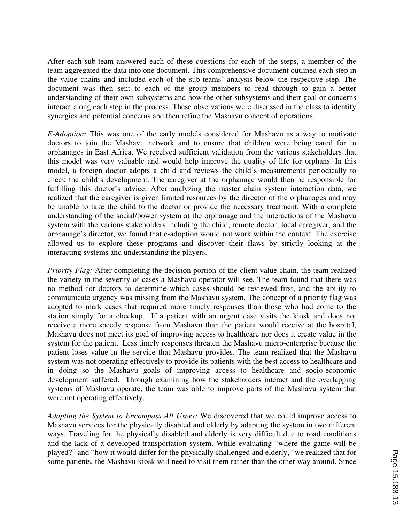After each sub-team answered each of these questions for each of the steps, a member of the team aggregated the data into one document. This comprehensive document outlined each step in the value chains and included each of the sub-teams' analysis below the respective step. The document was then sent to each of the group members to read through to gain a better understanding of their own subsystems and how the other subsystems and their goal or concerns interact along each step in the process. These observations were discussed in the class to identify synergies and potential concerns and then refine the Mashavu concept of operations.

*E-Adoption:* This was one of the early models considered for Mashavu as a way to motivate doctors to join the Mashavu network and to ensure that children were being cared for in orphanages in East Africa. We received sufficient validation from the various stakeholders that this model was very valuable and would help improve the quality of life for orphans. In this model, a foreign doctor adopts a child and reviews the child's measurements periodically to check the child's development. The caregiver at the orphanage would then be responsible for fulfilling this doctor's advice. After analyzing the master chain system interaction data, we realized that the caregiver is given limited resources by the director of the orphanages and may be unable to take the child to the doctor or provide the necessary treatment. With a complete understanding of the social/power system at the orphanage and the interactions of the Mashavu system with the various stakeholders including the child, remote doctor, local caregiver, and the orphanage's director, we found that e-adoption would not work within the context. The exercise allowed us to explore these programs and discover their flaws by strictly looking at the interacting systems and understanding the players.

*Priority Flag:* After completing the decision portion of the client value chain, the team realized the variety in the severity of cases a Mashavu operator will see. The team found that there was no method for doctors to determine which cases should be reviewed first, and the ability to communicate urgency was missing from the Mashavu system. The concept of a priority flag was adopted to mark cases that required more timely responses than those who had come to the station simply for a checkup. If a patient with an urgent case visits the kiosk and does not receive a more speedy response from Mashavu than the patient would receive at the hospital, Mashavu does not meet its goal of improving access to healthcare nor does it create value in the system for the patient. Less timely responses threaten the Mashavu micro-enterprise because the patient loses value in the service that Mashavu provides. The team realized that the Mashavu system was not operating effectively to provide its patients with the best access to healthcare and in doing so the Mashavu goals of improving access to healthcare and socio-economic development suffered. Through examining how the stakeholders interact and the overlapping systems of Mashavu operate, the team was able to improve parts of the Mashavu system that were not operating effectively.

*Adapting the System to Encompass All Users:* We discovered that we could improve access to Mashavu services for the physically disabled and elderly by adapting the system in two different ways. Traveling for the physically disabled and elderly is very difficult due to road conditions and the lack of a developed transportation system. While evaluating "where the game will be played?" and "how it would differ for the physically challenged and elderly," we realized that for some patients, the Mashavu kiosk will need to visit them rather than the other way around. Since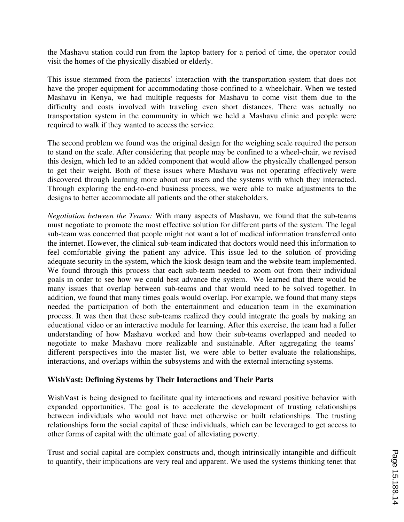the Mashavu station could run from the laptop battery for a period of time, the operator could visit the homes of the physically disabled or elderly.

This issue stemmed from the patients' interaction with the transportation system that does not have the proper equipment for accommodating those confined to a wheelchair. When we tested Mashavu in Kenya, we had multiple requests for Mashavu to come visit them due to the difficulty and costs involved with traveling even short distances. There was actually no transportation system in the community in which we held a Mashavu clinic and people were required to walk if they wanted to access the service.

The second problem we found was the original design for the weighing scale required the person to stand on the scale. After considering that people may be confined to a wheel-chair, we revised this design, which led to an added component that would allow the physically challenged person to get their weight. Both of these issues where Mashavu was not operating effectively were discovered through learning more about our users and the systems with which they interacted. Through exploring the end-to-end business process, we were able to make adjustments to the designs to better accommodate all patients and the other stakeholders.

*Negotiation between the Teams:* With many aspects of Mashavu, we found that the sub-teams must negotiate to promote the most effective solution for different parts of the system. The legal sub-team was concerned that people might not want a lot of medical information transferred onto the internet. However, the clinical sub-team indicated that doctors would need this information to feel comfortable giving the patient any advice. This issue led to the solution of providing adequate security in the system, which the kiosk design team and the website team implemented. We found through this process that each sub-team needed to zoom out from their individual goals in order to see how we could best advance the system. We learned that there would be many issues that overlap between sub-teams and that would need to be solved together. In addition, we found that many times goals would overlap. For example, we found that many steps needed the participation of both the entertainment and education team in the examination process. It was then that these sub-teams realized they could integrate the goals by making an educational video or an interactive module for learning. After this exercise, the team had a fuller understanding of how Mashavu worked and how their sub-teams overlapped and needed to negotiate to make Mashavu more realizable and sustainable. After aggregating the teams' different perspectives into the master list, we were able to better evaluate the relationships, interactions, and overlaps within the subsystems and with the external interacting systems.

#### **WishVast: Defining Systems by Their Interactions and Their Parts**

WishVast is being designed to facilitate quality interactions and reward positive behavior with expanded opportunities. The goal is to accelerate the development of trusting relationships between individuals who would not have met otherwise or built relationships. The trusting relationships form the social capital of these individuals, which can be leveraged to get access to other forms of capital with the ultimate goal of alleviating poverty.

Trust and social capital are complex constructs and, though intrinsically intangible and difficult to quantify, their implications are very real and apparent. We used the systems thinking tenet that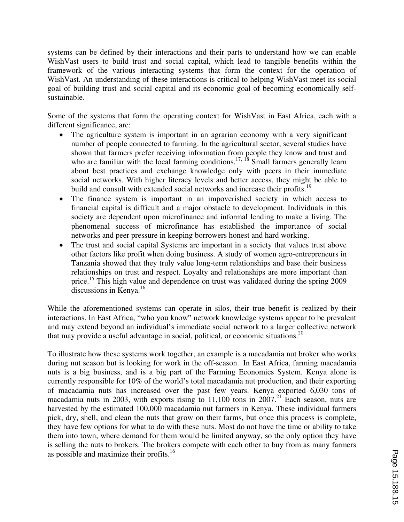systems can be defined by their interactions and their parts to understand how we can enable WishVast users to build trust and social capital, which lead to tangible benefits within the framework of the various interacting systems that form the context for the operation of WishVast. An understanding of these interactions is critical to helping WishVast meet its social goal of building trust and social capital and its economic goal of becoming economically selfsustainable.

Some of the systems that form the operating context for WishVast in East Africa, each with a different significance, are:

- The agriculture system is important in an agrarian economy with a very significant number of people connected to farming. In the agricultural sector, several studies have shown that farmers prefer receiving information from people they know and trust and who are familiar with the local farming conditions.<sup>17, 18</sup> Small farmers generally learn about best practices and exchange knowledge only with peers in their immediate social networks. With higher literacy levels and better access, they might be able to build and consult with extended social networks and increase their profits.<sup>19</sup>
- The finance system is important in an impoverished society in which access to financial capital is difficult and a major obstacle to development. Individuals in this society are dependent upon microfinance and informal lending to make a living. The phenomenal success of microfinance has established the importance of social networks and peer pressure in keeping borrowers honest and hard working.
- The trust and social capital Systems are important in a society that values trust above other factors like profit when doing business. A study of women agro-entrepreneurs in Tanzania showed that they truly value long-term relationships and base their business relationships on trust and respect. Loyalty and relationships are more important than price.<sup>15</sup> This high value and dependence on trust was validated during the spring 2009 discussions in Kenya.<sup>16</sup>

While the aforementioned systems can operate in silos, their true benefit is realized by their interactions. In East Africa, "who you know" network knowledge systems appear to be prevalent and may extend beyond an individual's immediate social network to a larger collective network that may provide a useful advantage in social, political, or economic situations.<sup>20</sup>

To illustrate how these systems work together, an example is a macadamia nut broker who works during nut season but is looking for work in the off-season. In East Africa, farming macadamia nuts is a big business, and is a big part of the Farming Economics System. Kenya alone is currently responsible for 10% of the world's total macadamia nut production, and their exporting of macadamia nuts has increased over the past few years. Kenya exported 6,030 tons of macadamia nuts in 2003, with exports rising to  $11,100$  tons in  $2007$ <sup>21</sup> Each season, nuts are harvested by the estimated 100,000 macadamia nut farmers in Kenya. These individual farmers pick, dry, shell, and clean the nuts that grow on their farms, but once this process is complete, they have few options for what to do with these nuts. Most do not have the time or ability to take them into town, where demand for them would be limited anyway, so the only option they have is selling the nuts to brokers. The brokers compete with each other to buy from as many farmers as possible and maximize their profits.<sup>16</sup>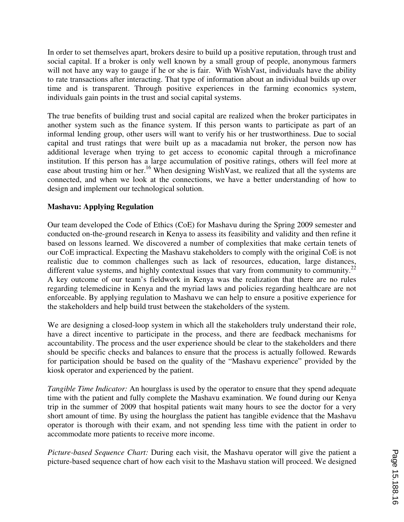In order to set themselves apart, brokers desire to build up a positive reputation, through trust and social capital. If a broker is only well known by a small group of people, anonymous farmers will not have any way to gauge if he or she is fair. With WishVast, individuals have the ability to rate transactions after interacting. That type of information about an individual builds up over time and is transparent. Through positive experiences in the farming economics system, individuals gain points in the trust and social capital systems.

The true benefits of building trust and social capital are realized when the broker participates in another system such as the finance system. If this person wants to participate as part of an informal lending group, other users will want to verify his or her trustworthiness. Due to social capital and trust ratings that were built up as a macadamia nut broker, the person now has additional leverage when trying to get access to economic capital through a microfinance institution. If this person has a large accumulation of positive ratings, others will feel more at ease about trusting him or her.<sup>16</sup> When designing WishVast, we realized that all the systems are connected, and when we look at the connections, we have a better understanding of how to design and implement our technological solution.

## **Mashavu: Applying Regulation**

Our team developed the Code of Ethics (CoE) for Mashavu during the Spring 2009 semester and conducted on-the-ground research in Kenya to assess its feasibility and validity and then refine it based on lessons learned. We discovered a number of complexities that make certain tenets of our CoE impractical. Expecting the Mashavu stakeholders to comply with the original CoE is not realistic due to common challenges such as lack of resources, education, large distances, different value systems, and highly contextual issues that vary from community to community.<sup>22</sup> A key outcome of our team's fieldwork in Kenya was the realization that there are no rules regarding telemedicine in Kenya and the myriad laws and policies regarding healthcare are not enforceable. By applying regulation to Mashavu we can help to ensure a positive experience for the stakeholders and help build trust between the stakeholders of the system.

We are designing a closed-loop system in which all the stakeholders truly understand their role, have a direct incentive to participate in the process, and there are feedback mechanisms for accountability. The process and the user experience should be clear to the stakeholders and there should be specific checks and balances to ensure that the process is actually followed. Rewards for participation should be based on the quality of the "Mashavu experience" provided by the kiosk operator and experienced by the patient.

*Tangible Time Indicator:* An hourglass is used by the operator to ensure that they spend adequate time with the patient and fully complete the Mashavu examination. We found during our Kenya trip in the summer of 2009 that hospital patients wait many hours to see the doctor for a very short amount of time. By using the hourglass the patient has tangible evidence that the Mashavu operator is thorough with their exam, and not spending less time with the patient in order to accommodate more patients to receive more income.

*Picture-based Sequence Chart:* During each visit, the Mashavu operator will give the patient a picture-based sequence chart of how each visit to the Mashavu station will proceed. We designed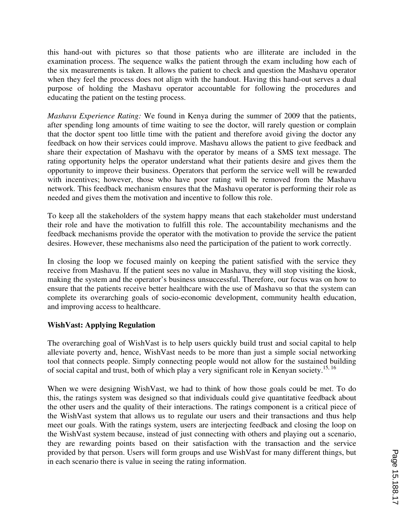this hand-out with pictures so that those patients who are illiterate are included in the examination process. The sequence walks the patient through the exam including how each of the six measurements is taken. It allows the patient to check and question the Mashavu operator when they feel the process does not align with the handout. Having this hand-out serves a dual purpose of holding the Mashavu operator accountable for following the procedures and educating the patient on the testing process.

*Mashavu Experience Rating:* We found in Kenya during the summer of 2009 that the patients, after spending long amounts of time waiting to see the doctor, will rarely question or complain that the doctor spent too little time with the patient and therefore avoid giving the doctor any feedback on how their services could improve. Mashavu allows the patient to give feedback and share their expectation of Mashavu with the operator by means of a SMS text message. The rating opportunity helps the operator understand what their patients desire and gives them the opportunity to improve their business. Operators that perform the service well will be rewarded with incentives; however, those who have poor rating will be removed from the Mashavu network. This feedback mechanism ensures that the Mashavu operator is performing their role as needed and gives them the motivation and incentive to follow this role.

To keep all the stakeholders of the system happy means that each stakeholder must understand their role and have the motivation to fulfill this role. The accountability mechanisms and the feedback mechanisms provide the operator with the motivation to provide the service the patient desires. However, these mechanisms also need the participation of the patient to work correctly.

In closing the loop we focused mainly on keeping the patient satisfied with the service they receive from Mashavu. If the patient sees no value in Mashavu, they will stop visiting the kiosk, making the system and the operator's business unsuccessful. Therefore, our focus was on how to ensure that the patients receive better healthcare with the use of Mashavu so that the system can complete its overarching goals of socio-economic development, community health education, and improving access to healthcare.

#### **WishVast: Applying Regulation**

The overarching goal of WishVast is to help users quickly build trust and social capital to help alleviate poverty and, hence, WishVast needs to be more than just a simple social networking tool that connects people. Simply connecting people would not allow for the sustained building of social capital and trust, both of which play a very significant role in Kenyan society.<sup>15, 16</sup>

When we were designing WishVast, we had to think of how those goals could be met. To do this, the ratings system was designed so that individuals could give quantitative feedback about the other users and the quality of their interactions. The ratings component is a critical piece of the WishVast system that allows us to regulate our users and their transactions and thus help meet our goals. With the ratings system, users are interjecting feedback and closing the loop on the WishVast system because, instead of just connecting with others and playing out a scenario, they are rewarding points based on their satisfaction with the transaction and the service provided by that person. Users will form groups and use WishVast for many different things, but in each scenario there is value in seeing the rating information.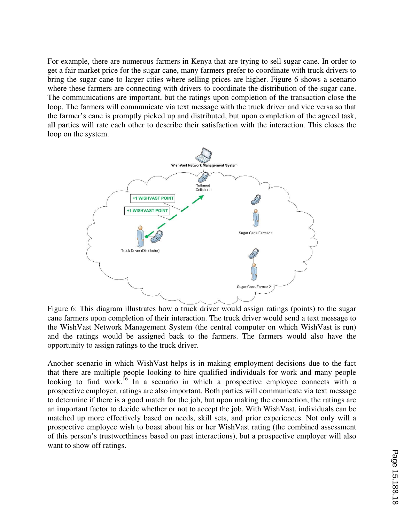For example, there are numerous farmers in Kenya that are trying to sell sugar cane. In order to get a fair market price for the sugar cane, many farmers prefer to coordinate with truck drivers to bring the sugar cane to larger cities where selling prices are higher. Figure 6 shows a scenario where these farmers are connecting with drivers to coordinate the distribution of the sugar cane. The communications are important, but the ratings upon completion of the transaction close the loop. The farmers will communicate via text message with the truck driver and vice versa so that the farmer's cane is promptly picked up and distributed, but upon completion of the agreed task, all parties will rate each other to describe their satisfaction with the interaction. This closes the loop on the system.



Figure 6: This diagram illustrates how a truck driver would assign ratings (points) to the sugar cane farmers upon completion of their interaction. The truck driver would send a text message to the WishVast Network Management System (the central computer on which WishVast is run) and the ratings would be assigned back to the farmers. The farmers would also have the opportunity to assign ratings to the truck driver.

Another scenario in which WishVast helps is in making employment decisions due to the fact that there are multiple people looking to hire qualified individuals for work and many people looking to find work.<sup>16</sup> In a scenario in which a prospective employee connects with a prospective employer, ratings are also important. Both parties will communicate via text message to determine if there is a good match for the job, but upon making the connection, the ratings are an important factor to decide whether or not to accept the job. With WishVast, individuals can be matched up more effectively based on needs, skill sets, and prior experiences. Not only will a prospective employee wish to boast about his or her WishVast rating (the combined assessment of this person's trustworthiness based on past interactions), but a prospective employer will also want to show off ratings.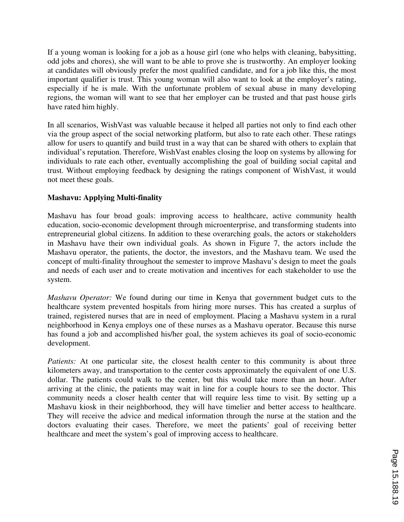If a young woman is looking for a job as a house girl (one who helps with cleaning, babysitting, odd jobs and chores), she will want to be able to prove she is trustworthy. An employer looking at candidates will obviously prefer the most qualified candidate, and for a job like this, the most important qualifier is trust. This young woman will also want to look at the employer's rating, especially if he is male. With the unfortunate problem of sexual abuse in many developing regions, the woman will want to see that her employer can be trusted and that past house girls have rated him highly.

In all scenarios, WishVast was valuable because it helped all parties not only to find each other via the group aspect of the social networking platform, but also to rate each other. These ratings allow for users to quantify and build trust in a way that can be shared with others to explain that individual's reputation. Therefore, WishVast enables closing the loop on systems by allowing for individuals to rate each other, eventually accomplishing the goal of building social capital and trust. Without employing feedback by designing the ratings component of WishVast, it would not meet these goals.

## **Mashavu: Applying Multi-finality**

Mashavu has four broad goals: improving access to healthcare, active community health education, socio-economic development through microenterprise, and transforming students into entrepreneurial global citizens. In addition to these overarching goals, the actors or stakeholders in Mashavu have their own individual goals. As shown in Figure 7, the actors include the Mashavu operator, the patients, the doctor, the investors, and the Mashavu team. We used the concept of multi-finality throughout the semester to improve Mashavu's design to meet the goals and needs of each user and to create motivation and incentives for each stakeholder to use the system.

*Mashavu Operator:* We found during our time in Kenya that government budget cuts to the healthcare system prevented hospitals from hiring more nurses. This has created a surplus of trained, registered nurses that are in need of employment. Placing a Mashavu system in a rural neighborhood in Kenya employs one of these nurses as a Mashavu operator. Because this nurse has found a job and accomplished his/her goal, the system achieves its goal of socio-economic development.

*Patients:* At one particular site, the closest health center to this community is about three kilometers away, and transportation to the center costs approximately the equivalent of one U.S. dollar. The patients could walk to the center, but this would take more than an hour. After arriving at the clinic, the patients may wait in line for a couple hours to see the doctor. This community needs a closer health center that will require less time to visit. By setting up a Mashavu kiosk in their neighborhood, they will have timelier and better access to healthcare. They will receive the advice and medical information through the nurse at the station and the doctors evaluating their cases. Therefore, we meet the patients' goal of receiving better healthcare and meet the system's goal of improving access to healthcare.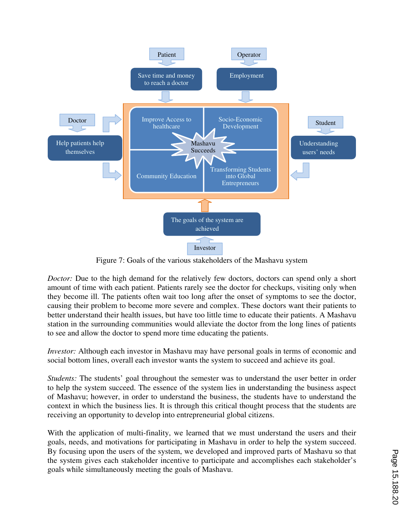

Figure 7: Goals of the various stakeholders of the Mashavu system

*Doctor:* Due to the high demand for the relatively few doctors, doctors can spend only a short amount of time with each patient. Patients rarely see the doctor for checkups, visiting only when they become ill. The patients often wait too long after the onset of symptoms to see the doctor, causing their problem to become more severe and complex. These doctors want their patients to better understand their health issues, but have too little time to educate their patients. A Mashavu station in the surrounding communities would alleviate the doctor from the long lines of patients to see and allow the doctor to spend more time educating the patients.

*Investor:* Although each investor in Mashavu may have personal goals in terms of economic and social bottom lines, overall each investor wants the system to succeed and achieve its goal.

*Students:* The students' goal throughout the semester was to understand the user better in order to help the system succeed. The essence of the system lies in understanding the business aspect of Mashavu; however, in order to understand the business, the students have to understand the context in which the business lies. It is through this critical thought process that the students are receiving an opportunity to develop into entrepreneurial global citizens.

With the application of multi-finality, we learned that we must understand the users and their goals, needs, and motivations for participating in Mashavu in order to help the system succeed. By focusing upon the users of the system, we developed and improved parts of Mashavu so that the system gives each stakeholder incentive to participate and accomplishes each stakeholder's goals while simultaneously meeting the goals of Mashavu.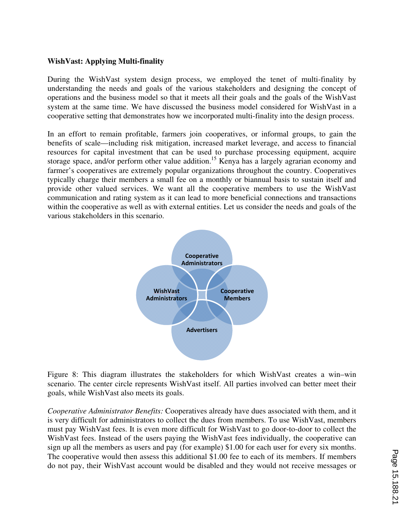### **WishVast: Applying Multi-finality**

During the WishVast system design process, we employed the tenet of multi-finality by understanding the needs and goals of the various stakeholders and designing the concept of operations and the business model so that it meets all their goals and the goals of the WishVast system at the same time. We have discussed the business model considered for WishVast in a cooperative setting that demonstrates how we incorporated multi-finality into the design process.

In an effort to remain profitable, farmers join cooperatives, or informal groups, to gain the benefits of scale—including risk mitigation, increased market leverage, and access to financial resources for capital investment that can be used to purchase processing equipment, acquire storage space, and/or perform other value addition.<sup>15</sup> Kenya has a largely agrarian economy and farmer's cooperatives are extremely popular organizations throughout the country. Cooperatives typically charge their members a small fee on a monthly or biannual basis to sustain itself and provide other valued services. We want all the cooperative members to use the WishVast communication and rating system as it can lead to more beneficial connections and transactions within the cooperative as well as with external entities. Let us consider the needs and goals of the various stakeholders in this scenario.



Figure 8: This diagram illustrates the stakeholders for which WishVast creates a win–win scenario. The center circle represents WishVast itself. All parties involved can better meet their goals, while WishVast also meets its goals.

*Cooperative Administrator Benefits:* Cooperatives already have dues associated with them, and it is very difficult for administrators to collect the dues from members. To use WishVast, members must pay WishVast fees. It is even more difficult for WishVast to go door-to-door to collect the WishVast fees. Instead of the users paying the WishVast fees individually, the cooperative can sign up all the members as users and pay (for example) \$1.00 for each user for every six months. The cooperative would then assess this additional \$1.00 fee to each of its members. If members do not pay, their WishVast account would be disabled and they would not receive messages or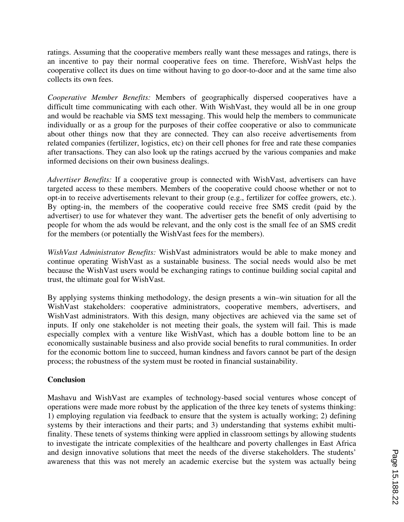ratings. Assuming that the cooperative members really want these messages and ratings, there is an incentive to pay their normal cooperative fees on time. Therefore, WishVast helps the cooperative collect its dues on time without having to go door-to-door and at the same time also collects its own fees.

*Cooperative Member Benefits:* Members of geographically dispersed cooperatives have a difficult time communicating with each other. With WishVast, they would all be in one group and would be reachable via SMS text messaging. This would help the members to communicate individually or as a group for the purposes of their coffee cooperative or also to communicate about other things now that they are connected. They can also receive advertisements from related companies (fertilizer, logistics, etc) on their cell phones for free and rate these companies after transactions. They can also look up the ratings accrued by the various companies and make informed decisions on their own business dealings.

*Advertiser Benefits:* If a cooperative group is connected with WishVast, advertisers can have targeted access to these members. Members of the cooperative could choose whether or not to opt-in to receive advertisements relevant to their group (e.g., fertilizer for coffee growers, etc.). By opting-in, the members of the cooperative could receive free SMS credit (paid by the advertiser) to use for whatever they want. The advertiser gets the benefit of only advertising to people for whom the ads would be relevant, and the only cost is the small fee of an SMS credit for the members (or potentially the WishVast fees for the members).

*WishVast Administrator Benefits:* WishVast administrators would be able to make money and continue operating WishVast as a sustainable business. The social needs would also be met because the WishVast users would be exchanging ratings to continue building social capital and trust, the ultimate goal for WishVast.

By applying systems thinking methodology, the design presents a win–win situation for all the WishVast stakeholders: cooperative administrators, cooperative members, advertisers, and WishVast administrators. With this design, many objectives are achieved via the same set of inputs. If only one stakeholder is not meeting their goals, the system will fail. This is made especially complex with a venture like WishVast, which has a double bottom line to be an economically sustainable business and also provide social benefits to rural communities. In order for the economic bottom line to succeed, human kindness and favors cannot be part of the design process; the robustness of the system must be rooted in financial sustainability.

## **Conclusion**

Mashavu and WishVast are examples of technology-based social ventures whose concept of operations were made more robust by the application of the three key tenets of systems thinking: 1) employing regulation via feedback to ensure that the system is actually working; 2) defining systems by their interactions and their parts; and 3) understanding that systems exhibit multifinality. These tenets of systems thinking were applied in classroom settings by allowing students to investigate the intricate complexities of the healthcare and poverty challenges in East Africa and design innovative solutions that meet the needs of the diverse stakeholders. The students' awareness that this was not merely an academic exercise but the system was actually being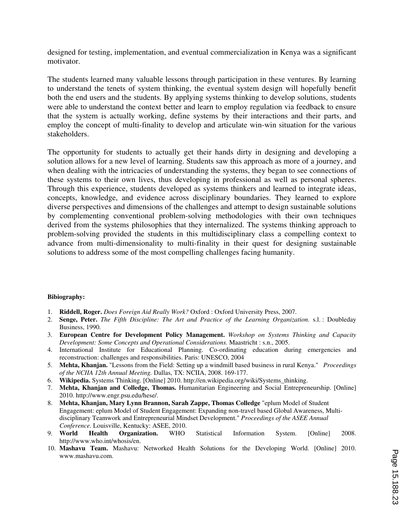designed for testing, implementation, and eventual commercialization in Kenya was a significant motivator.

The students learned many valuable lessons through participation in these ventures. By learning to understand the tenets of system thinking, the eventual system design will hopefully benefit both the end users and the students. By applying systems thinking to develop solutions, students were able to understand the context better and learn to employ regulation via feedback to ensure that the system is actually working, define systems by their interactions and their parts, and employ the concept of multi-finality to develop and articulate win-win situation for the various stakeholders.

The opportunity for students to actually get their hands dirty in designing and developing a solution allows for a new level of learning. Students saw this approach as more of a journey, and when dealing with the intricacies of understanding the systems, they began to see connections of these systems to their own lives, thus developing in professional as well as personal spheres. Through this experience, students developed as systems thinkers and learned to integrate ideas, concepts, knowledge, and evidence across disciplinary boundaries. They learned to explore diverse perspectives and dimensions of the challenges and attempt to design sustainable solutions by complementing conventional problem-solving methodologies with their own techniques derived from the systems philosophies that they internalized. The systems thinking approach to problem-solving provided the students in this multidisciplinary class a compelling context to advance from multi-dimensionality to multi-finality in their quest for designing sustainable solutions to address some of the most compelling challenges facing humanity.

#### **Bibiography:**

- 1. **Riddell, Roger.** *Does Foreign Aid Really Work?* Oxford : Oxford University Press, 2007.
- 2. **Senge, Peter.** *The Fifth Discipline: The Art and Practice of the Learning Organization.* s.l. : Doubleday Business, 1990.
- 3. **European Centre for Development Policy Management.** *Workshop on Systems Thinking and Capacity Development: Some Concepts and Operational Considerations.* Maastricht : s.n., 2005.
- 4. International Institute for Educational Planning. Co-ordinating education during emergencies and reconstruction: challenges and responsibilities. Paris: UNESCO, 2004
- 5. **Mehta, Khanjan.** "Lessons from the Field: Setting up a windmill based business in rural Kenya." *Proceedings of the NCIIA 12th Annual Meeting.* Dallas, TX: NCIIA, 2008. 169-177.
- 6. **Wikipedia.** Systems Thinking. [Online] 2010. http://en.wikipedia.org/wiki/Systems\_thinking.
- 7. **Mehta, Khanjan and Colledge, Thomas.** Humanitarian Engineering and Social Entrepreneurship. [Online] 2010. http://www.engr.psu.edu/hese/.
- 8. **Mehta, Khanjan, Mary Lynn Brannon, Sarah Zappe, Thomas Colledge** "eplum Model of Student Engagement: eplum Model of Student Engagement: Expanding non-travel based Global Awareness, Multidisciplinary Teamwork and Entrepreneurial Mindset Development." *Proceedings of the ASEE Annual Conference.* Louisville, Kentucky: ASEE, 2010.
- 9. **World Health Organization.** WHO Statistical Information System. [Online] 2008. http://www.who.int/whosis/en.
- 10. **Mashavu Team.** Mashavu: Networked Health Solutions for the Developing World. [Online] 2010. www.mashavu.com.